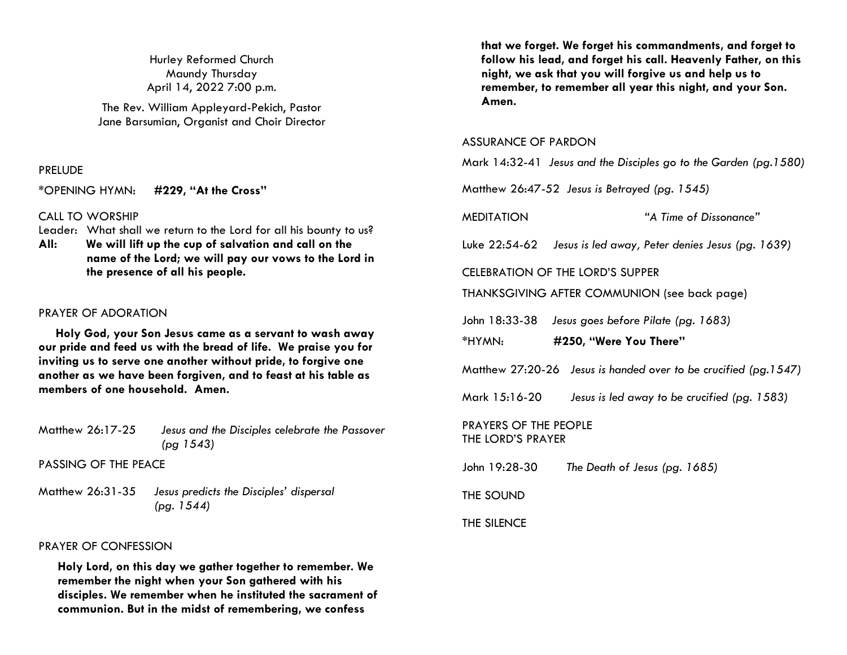Hurley Reformed Church Maundy Thursday April 14, 2022 7:00 p.m.

The Rev. William Appleyard-Pekich, Pastor Jane Barsumian, Organist and Choir Director

### PRELUDE

\*OPENING HYMN: **#229, "At the Cross"**

CALL TO WORSHIP

- Leader: What shall we return to the Lord for all his bounty to us?
- **All: We will lift up the cup of salvation and call on the name of the Lord; we will pay our vows to the Lord in the presence of all his people.**

### PRAYER OF ADORATION

 **Holy God, your Son Jesus came as a servant to wash away our pride and feed us with the bread of life. We praise you for inviting us to serve one another without pride, to forgive one another as we have been forgiven, and to feast at his table as members of one household. Amen.**

| Matthew 26:17-25 | Jesus and the Disciples celebrate the Passover |  |
|------------------|------------------------------------------------|--|
|                  | (pg 1543)                                      |  |

PASSING OF THE PEACE

Matthew 26:31-35 *Jesus predicts the Disciples' dispersal (pg. 1544)* 

### PRAYER OF CONFESSION

**Holy Lord, on this day we gather together to remember. We remember the night when your Son gathered with his disciples. We remember when he instituted the sacrament of communion. But in the midst of remembering, we confess** 

**that we forget. We forget his commandments, and forget to follow his lead, and forget his call. Heavenly Father, on this night, we ask that you will forgive us and help us to remember, to remember all year this night, and your Son. Amen.**

### ASSURANCE OF PARDON

Mark 14:32-41 *Jesus and the Disciples go to the Garden (pg.1580)*

Matthew 26:47-52 *Jesus is Betrayed (pg. 1545)*

MEDITATION *"A Time of Dissonance"*

Luke 22:54-62 *Jesus is led away, Peter denies Jesus (pg. 1639)*

### CELEBRATION OF THE LORD'S SUPPER

THANKSGIVING AFTER COMMUNION (see back page)

John 18:33-38 *Jesus goes before Pilate (pg. 1683)*

\*HYMN: **#250, "Were You There"**

Matthew 27:20-26 *Jesus is handed over to be crucified (pg.1547)* 

Mark 15:16-20 *Jesus is led away to be crucified (pg. 1583)*

PRAYERS OF THE PEOPLE THE LORD'S PRAYER

John 19:28-30 *The Death of Jesus (pg. 1685)*

THE SOUND

THE SILENCE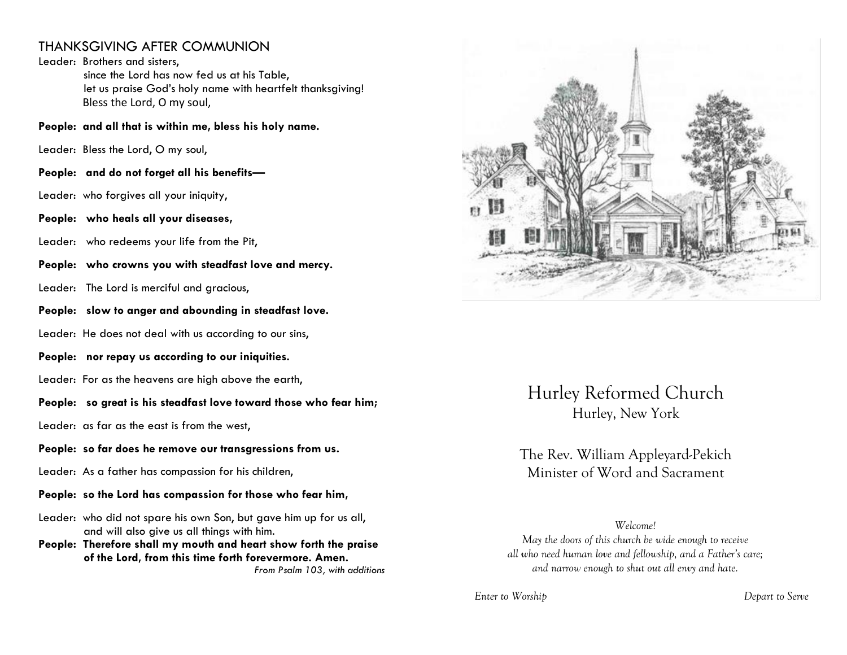## THANKSGIVING AFTER COMMUNION

Leader: Brothers and sisters, since the Lord has now fed us at his Table, let us praise God's holy name with heartfelt thanksgiving! Bless the Lord, O my soul,

**People: and all that is within me, bless his holy name.** 

Leader: Bless the Lord, O my soul,

**People: and do not forget all his benefits—**

Leader: who forgives all your iniquity,

**People: who heals all your diseases,**

Leader: who redeems your life from the Pit,

**People: who crowns you with steadfast love and mercy.**

Leader: The Lord is merciful and gracious,

**People: slow to anger and abounding in steadfast love.** 

Leader: He does not deal with us according to our sins,

**People: nor repay us according to our iniquities.** 

Leader: For as the heavens are high above the earth,

### **People: so great is his steadfast love toward those who fear him;**

Leader: as far as the east is from the west,

### **People: so far does he remove our transgressions from us.**

Leader: As a father has compassion for his children,

**People: so the Lord has compassion for those who fear him,** 

Leader: who did not spare his own Son, but gave him up for us all, and will also give us all things with him.

**People: Therefore shall my mouth and heart show forth the praise of the Lord, from this time forth forevermore. Amen.** *From Psalm 103, with additions*



Hurley Reformed Church Hurley, New York

The Rev. William Appleyard-Pekich Minister of Word and Sacrament

*Welcome! May the doors of this church be wide enough to receive all who need human love and fellowship, and a Father's care; and narrow enough to shut out all envy and hate.*

*Enter to Worship Depart to Serve*